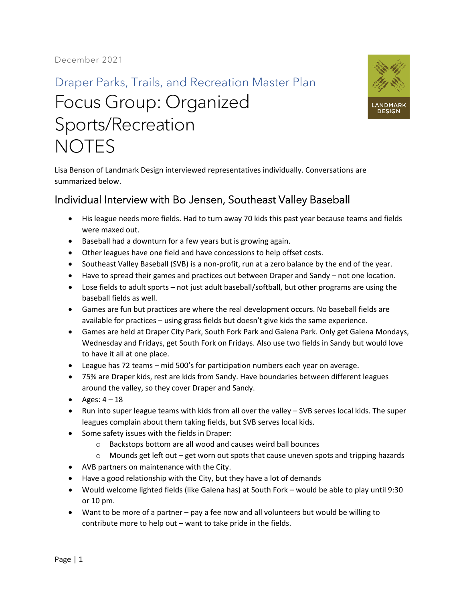## Draper Parks, Trails, and Recreation Master Plan Focus Group: Organized Sports/Recreation **NOTES**



Lisa Benson of Landmark Design interviewed representatives individually. Conversations are summarized below.

## Individual Interview with Bo Jensen, Southeast Valley Baseball

- His league needs more fields. Had to turn away 70 kids this past year because teams and fields were maxed out.
- Baseball had a downturn for a few years but is growing again.
- Other leagues have one field and have concessions to help offset costs.
- Southeast Valley Baseball (SVB) is a non-profit, run at a zero balance by the end of the year.
- Have to spread their games and practices out between Draper and Sandy not one location.
- Lose fields to adult sports not just adult baseball/softball, but other programs are using the baseball fields as well.
- Games are fun but practices are where the real development occurs. No baseball fields are available for practices – using grass fields but doesn't give kids the same experience.
- Games are held at Draper City Park, South Fork Park and Galena Park. Only get Galena Mondays, Wednesday and Fridays, get South Fork on Fridays. Also use two fields in Sandy but would love to have it all at one place.
- League has 72 teams mid 500's for participation numbers each year on average.
- 75% are Draper kids, rest are kids from Sandy. Have boundaries between different leagues around the valley, so they cover Draper and Sandy.
- Ages:  $4 18$
- Run into super league teams with kids from all over the valley SVB serves local kids. The super leagues complain about them taking fields, but SVB serves local kids.
- Some safety issues with the fields in Draper:
	- o Backstops bottom are all wood and causes weird ball bounces
	- $\circ$  Mounds get left out get worn out spots that cause uneven spots and tripping hazards
- AVB partners on maintenance with the City.
- Have a good relationship with the City, but they have a lot of demands
- Would welcome lighted fields (like Galena has) at South Fork would be able to play until 9:30 or 10 pm.
- Want to be more of a partner pay a fee now and all volunteers but would be willing to contribute more to help out – want to take pride in the fields.